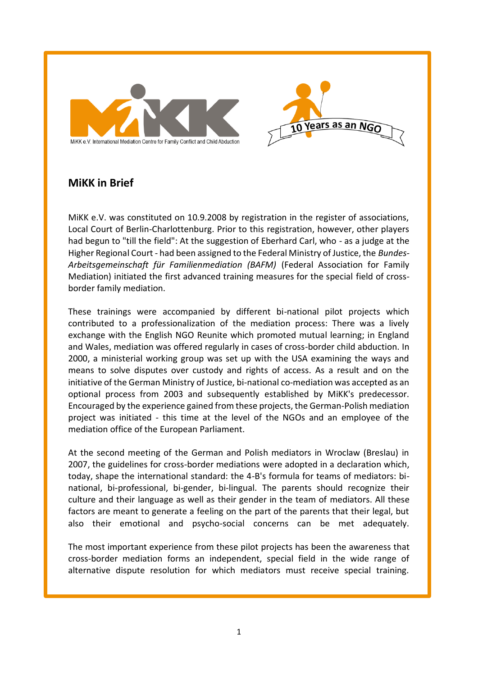



## **MiKK in Brief**

MiKK e.V. was constituted on 10.9.2008 by registration in the register of associations, Local Court of Berlin-Charlottenburg. Prior to this registration, however, other players had begun to "till the field": At the suggestion of Eberhard Carl, who - as a judge at the Higher Regional Court - had been assigned to the Federal Ministry of Justice, the *Bundes-Arbeitsgemeinschaft für Familienmediation (BAFM)* (Federal Association for Family Mediation) initiated the first advanced training measures for the special field of crossborder family mediation.

These trainings were accompanied by different bi-national pilot projects which contributed to a professionalization of the mediation process: There was a lively exchange with the English NGO Reunite which promoted mutual learning; in England and Wales, mediation was offered regularly in cases of cross-border child abduction. In 2000, a ministerial working group was set up with the USA examining the ways and means to solve disputes over custody and rights of access. As a result and on the initiative of the German Ministry of Justice, bi-national co-mediation was accepted as an optional process from 2003 and subsequently established by MiKK's predecessor. Encouraged by the experience gained from these projects, the German-Polish mediation project was initiated - this time at the level of the NGOs and an employee of the mediation office of the European Parliament.

At the second meeting of the German and Polish mediators in Wroclaw (Breslau) in 2007, the guidelines for cross-border mediations were adopted in a declaration which, today, shape the international standard: the 4-B's formula for teams of mediators: binational, bi-professional, bi-gender, bi-lingual. The parents should recognize their culture and their language as well as their gender in the team of mediators. All these factors are meant to generate a feeling on the part of the parents that their legal, but also their emotional and psycho-social concerns can be met adequately.

The most important experience from these pilot projects has been the awareness that cross-border mediation forms an independent, special field in the wide range of alternative dispute resolution for which mediators must receive special training.